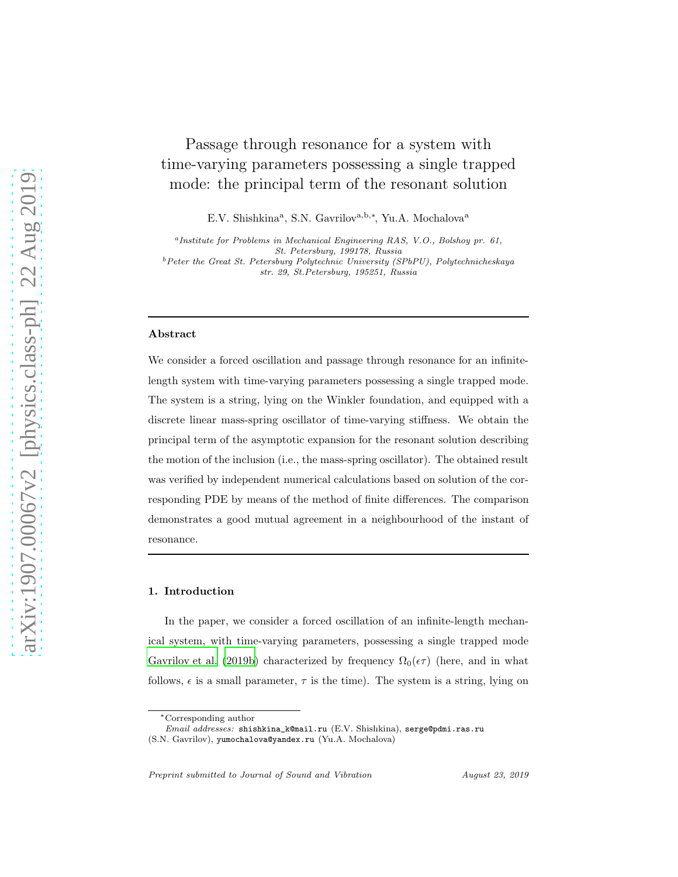# Passage through resonance for a system with time-varying parameters possessing a single trapped mode: the principal term of the resonant solution

E.V. Shishkina<sup>a</sup>, S.N. Gavrilov<sup>a,b,\*</sup>, Yu.A. Mochalova<sup>a</sup>

a *Institute for Problems in Mechanical Engineering RAS, V.O., Bolshoy pr. 61, St. Petersburg, 199178, Russia*

<sup>b</sup>*Peter the Great St. Petersburg Polytechnic University (SPbPU), Polytechnicheskaya str. 29, St.Petersburg, 195251, Russia*

## Abstract

We consider a forced oscillation and passage through resonance for an infinitelength system with time-varying parameters possessing a single trapped mode. The system is a string, lying on the Winkler foundation, and equipped with a discrete linear mass-spring oscillator of time-varying stiffness. We obtain the principal term of the asymptotic expansion for the resonant solution describing the motion of the inclusion (i.e., the mass-spring oscillator). The obtained result was verified by independent numerical calculations based on solution of the corresponding PDE by means of the method of finite differences. The comparison demonstrates a good mutual agreement in a neighbourhood of the instant of resonance.

### 1. Introduction

In the paper, we consider a forced oscillation of an infinite-length mechanical system, with time-varying parameters, possessing a single trapped mode [Gavrilov et al. \(2019b](#page-18-0)) characterized by frequency  $\Omega_0(\epsilon \tau)$  (here, and in what follows,  $\epsilon$  is a small parameter,  $\tau$  is the time). The system is a string, lying on

<sup>∗</sup>Corresponding author

*Email addresses:* shishkina\_k@mail.ru (E.V. Shishkina), serge@pdmi.ras.ru

<sup>(</sup>S.N. Gavrilov), yumochalova@yandex.ru (Yu.A. Mochalova)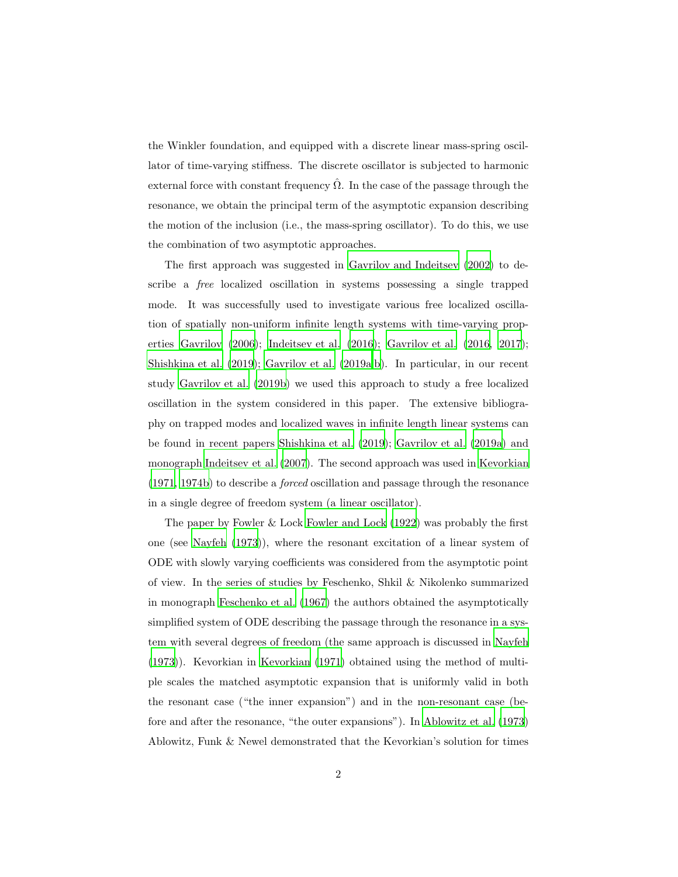the Winkler foundation, and equipped with a discrete linear mass-spring oscillator of time-varying stiffness. The discrete oscillator is subjected to harmonic external force with constant frequency  $\hat{\Omega}$ . In the case of the passage through the resonance, we obtain the principal term of the asymptotic expansion describing the motion of the inclusion (i.e., the mass-spring oscillator). To do this, we use the combination of two asymptotic approaches.

The first approach was suggested in [Gavrilov and Indeitsev \(2002\)](#page-17-0) to describe a free localized oscillation in systems possessing a single trapped mode. It was successfully used to investigate various free localized oscillation of spatially non-uniform infinite length systems with time-varying properties [Gavrilov \(2006](#page-17-1)); [Indeitsev et al. \(2016](#page-18-1)); [Gavrilov et al. \(2016](#page-17-2), [2017\)](#page-17-3); [Shishkina et al. \(2019\)](#page-19-0); [Gavrilov et al. \(2019a](#page-17-4)[,b\)](#page-18-0). In particular, in our recent study [Gavrilov et al. \(2019b](#page-18-0)) we used this approach to study a free localized oscillation in the system considered in this paper. The extensive bibliography on trapped modes and localized waves in infinite length linear systems can be found in recent papers [Shishkina et al. \(2019\)](#page-19-0); [Gavrilov et al. \(2019a\)](#page-17-4) and monograph [Indeitsev et al. \(2007\)](#page-18-2). The second approach was used in [Kevorkian](#page-18-3) [\(1971,](#page-18-3) [1974b\)](#page-18-4) to describe a forced oscillation and passage through the resonance in a single degree of freedom system (a linear oscillator).

The paper by Fowler & Lock [Fowler and Lock \(1922\)](#page-17-5) was probably the first one (see [Nayfeh \(1973\)](#page-19-1)), where the resonant excitation of a linear system of ODE with slowly varying coefficients was considered from the asymptotic point of view. In the series of studies by Feschenko, Shkil & Nikolenko summarized in monograph [Feschenko et al. \(1967](#page-17-6)) the authors obtained the asymptotically simplified system of ODE describing the passage through the resonance in a system with several degrees of freedom (the same approach is discussed in [Nayfeh](#page-19-1) [\(1973\)](#page-19-1)). Kevorkian in [Kevorkian \(1971\)](#page-18-3) obtained using the method of multiple scales the matched asymptotic expansion that is uniformly valid in both the resonant case ("the inner expansion") and in the non-resonant case (before and after the resonance, "the outer expansions"). In [Ablowitz et al. \(1973\)](#page-16-0) Ablowitz, Funk & Newel demonstrated that the Kevorkian's solution for times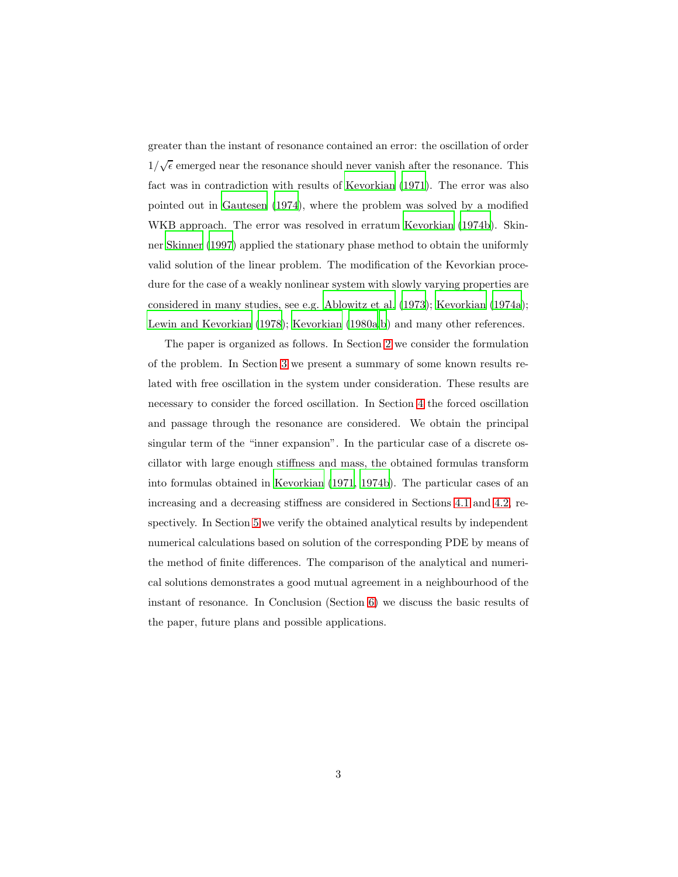greater than the instant of resonance contained an error: the oscillation of order  $1/\sqrt{\epsilon}$  emerged near the resonance should never vanish after the resonance. This fact was in contradiction with results of [Kevorkian \(1971](#page-18-3)). The error was also pointed out in [Gautesen \(1974](#page-17-7)), where the problem was solved by a modified WKB approach. The error was resolved in erratum [Kevorkian \(1974b\)](#page-18-4). Skinner [Skinner \(1997\)](#page-19-2) applied the stationary phase method to obtain the uniformly valid solution of the linear problem. The modification of the Kevorkian procedure for the case of a weakly nonlinear system with slowly varying properties are considered in many studies, see e.g. [Ablowitz et al. \(1973](#page-16-0)); [Kevorkian \(1974a\)](#page-18-5); [Lewin and Kevorkian \(1978\)](#page-19-3); [Kevorkian \(1980a](#page-18-6)[,b](#page-19-4)) and many other references.

The paper is organized as follows. In Section [2](#page-3-0) we consider the formulation of the problem. In Section [3](#page-4-0) we present a summary of some known results related with free oscillation in the system under consideration. These results are necessary to consider the forced oscillation. In Section [4](#page-5-0) the forced oscillation and passage through the resonance are considered. We obtain the principal singular term of the "inner expansion". In the particular case of a discrete oscillator with large enough stiffness and mass, the obtained formulas transform into formulas obtained in [Kevorkian \(1971,](#page-18-3) [1974b\)](#page-18-4). The particular cases of an increasing and a decreasing stiffness are considered in Sections [4.1](#page-5-1) and [4.2,](#page-11-0) respectively. In Section [5](#page-12-0) we verify the obtained analytical results by independent numerical calculations based on solution of the corresponding PDE by means of the method of finite differences. The comparison of the analytical and numerical solutions demonstrates a good mutual agreement in a neighbourhood of the instant of resonance. In Conclusion (Section [6\)](#page-12-1) we discuss the basic results of the paper, future plans and possible applications.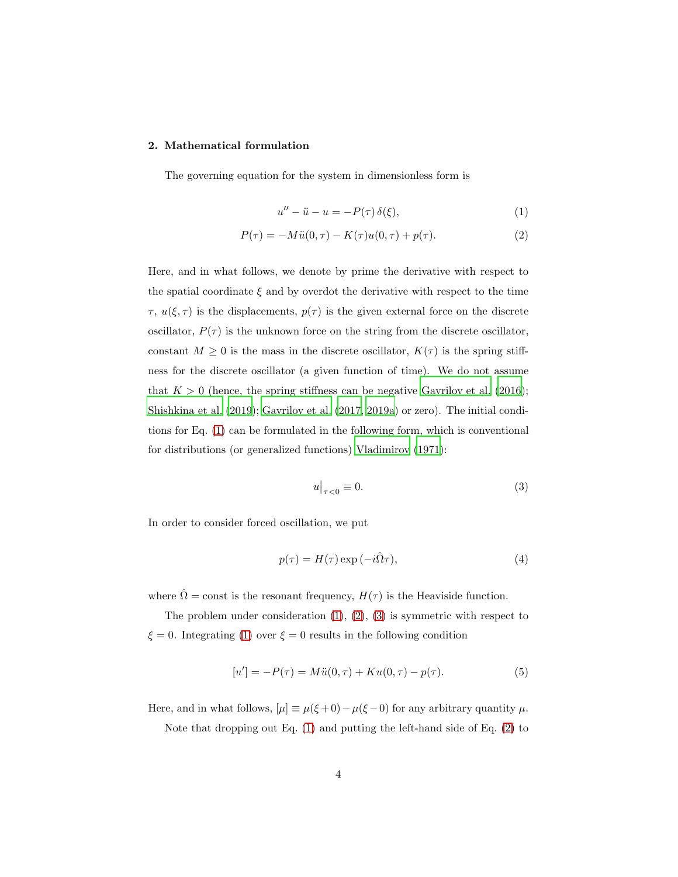## <span id="page-3-0"></span>2. Mathematical formulation

The governing equation for the system in dimensionless form is

<span id="page-3-2"></span><span id="page-3-1"></span>
$$
u'' - \ddot{u} - u = -P(\tau)\,\delta(\xi),\tag{1}
$$

$$
P(\tau) = -M\ddot{u}(0,\tau) - K(\tau)u(0,\tau) + p(\tau).
$$
 (2)

Here, and in what follows, we denote by prime the derivative with respect to the spatial coordinate  $\xi$  and by overdot the derivative with respect to the time  $\tau$ ,  $u(\xi, \tau)$  is the displacements,  $p(\tau)$  is the given external force on the discrete oscillator,  $P(\tau)$  is the unknown force on the string from the discrete oscillator, constant  $M \geq 0$  is the mass in the discrete oscillator,  $K(\tau)$  is the spring stiffness for the discrete oscillator (a given function of time). We do not assume that  $K > 0$  (hence, the spring stiffness can be negative [Gavrilov et al. \(2016\)](#page-17-2); [Shishkina et al. \(2019\)](#page-19-0); [Gavrilov et al. \(2017,](#page-17-3) [2019a\)](#page-17-4) or zero). The initial conditions for Eq. [\(1\)](#page-3-1) can be formulated in the following form, which is conventional for distributions (or generalized functions) [Vladimirov \(1971](#page-19-5)):

<span id="page-3-3"></span>
$$
u\big|_{\tau<0}\equiv 0.\tag{3}
$$

In order to consider forced oscillation, we put

<span id="page-3-5"></span>
$$
p(\tau) = H(\tau) \exp(-i\hat{\Omega}\tau), \tag{4}
$$

where  $\hat{\Omega} = \text{const}$  is the resonant frequency,  $H(\tau)$  is the Heaviside function.

The problem under consideration  $(1)$ ,  $(2)$ ,  $(3)$  is symmetric with respect to  $\xi = 0$ . Integrating [\(1\)](#page-3-1) over  $\xi = 0$  results in the following condition

<span id="page-3-4"></span>
$$
[u'] = -P(\tau) = M\ddot{u}(0,\tau) + Ku(0,\tau) - p(\tau).
$$
 (5)

Here, and in what follows,  $[\mu] \equiv \mu(\xi + 0) - \mu(\xi - 0)$  for any arbitrary quantity  $\mu$ .

Note that dropping out Eq. [\(1\)](#page-3-1) and putting the left-hand side of Eq. [\(2\)](#page-3-2) to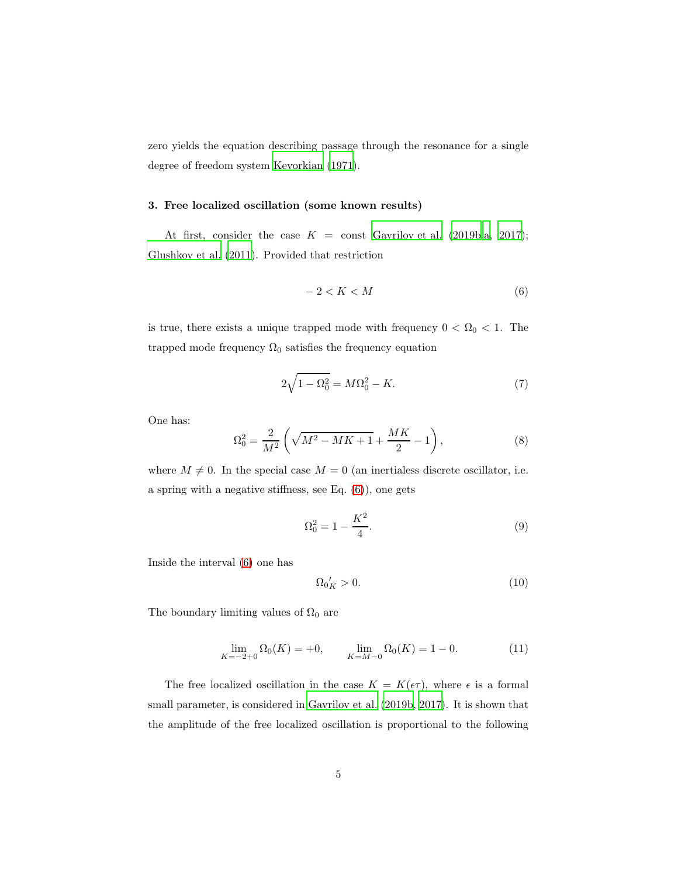zero yields the equation describing passage through the resonance for a single degree of freedom system [Kevorkian \(1971\)](#page-18-3).

## <span id="page-4-0"></span>3. Free localized oscillation (some known results)

At first, consider the case  $K =$  const [Gavrilov et al. \(2019b](#page-18-0)[,a](#page-17-4), [2017\)](#page-17-3); [Glushkov et al. \(2011\)](#page-18-7). Provided that restriction

<span id="page-4-4"></span><span id="page-4-1"></span>
$$
-2 < K < M \tag{6}
$$

is true, there exists a unique trapped mode with frequency  $0 < \Omega_0 < 1$ . The trapped mode frequency  $\Omega_0$  satisfies the frequency equation

$$
2\sqrt{1-\Omega_0^2} = M\Omega_0^2 - K.\tag{7}
$$

One has:

$$
\Omega_0^2 = \frac{2}{M^2} \left( \sqrt{M^2 - MK + 1} + \frac{MK}{2} - 1 \right),\tag{8}
$$

where  $M \neq 0$ . In the special case  $M = 0$  (an inertialess discrete oscillator, i.e. a spring with a negative stiffness, see Eq. [\(6\)](#page-4-1)), one gets

$$
\Omega_0^2 = 1 - \frac{K^2}{4}.\tag{9}
$$

Inside the interval [\(6\)](#page-4-1) one has

<span id="page-4-2"></span>
$$
\Omega_0'_K > 0. \tag{10}
$$

The boundary limiting values of  $\Omega_0$  are

<span id="page-4-3"></span>
$$
\lim_{K=-2+0} \Omega_0(K) = +0, \qquad \lim_{K=M-0} \Omega_0(K) = 1 - 0. \tag{11}
$$

The free localized oscillation in the case  $K = K(\epsilon \tau)$ , where  $\epsilon$  is a formal small parameter, is considered in [Gavrilov et al. \(2019b](#page-18-0), [2017\)](#page-17-3). It is shown that the amplitude of the free localized oscillation is proportional to the following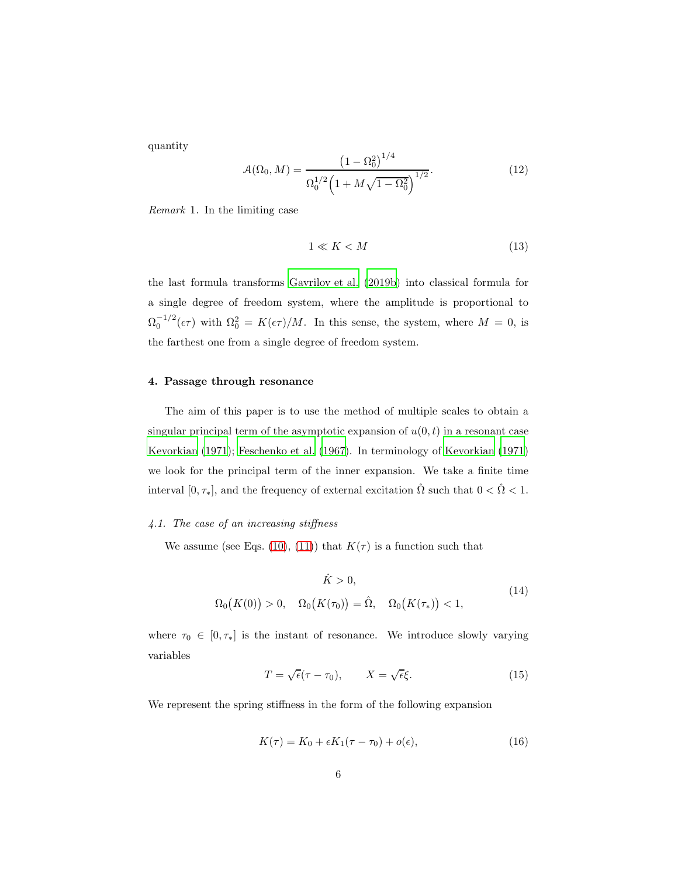quantity

$$
\mathcal{A}(\Omega_0, M) = \frac{\left(1 - \Omega_0^2\right)^{1/4}}{\Omega_0^{1/2} \left(1 + M\sqrt{1 - \Omega_0^2}\right)^{1/2}}.
$$
\n(12)

Remark 1. In the limiting case

<span id="page-5-3"></span>
$$
1 \ll K < M \tag{13}
$$

the last formula transforms [Gavrilov et al. \(2019b\)](#page-18-0) into classical formula for a single degree of freedom system, where the amplitude is proportional to  $\Omega_0^{-1/2}(\epsilon \tau)$  with  $\Omega_0^2 = K(\epsilon \tau)/M$ . In this sense, the system, where  $M = 0$ , is the farthest one from a single degree of freedom system.

## <span id="page-5-0"></span>4. Passage through resonance

The aim of this paper is to use the method of multiple scales to obtain a singular principal term of the asymptotic expansion of  $u(0, t)$  in a resonant case [Kevorkian \(1971\)](#page-18-3); [Feschenko et al. \(1967\)](#page-17-6). In terminology of [Kevorkian \(1971\)](#page-18-3) we look for the principal term of the inner expansion. We take a finite time interval  $[0, \tau_*]$ , and the frequency of external excitation  $\hat{\Omega}$  such that  $0 < \hat{\Omega} < 1$ .

## <span id="page-5-1"></span>4.1. The case of an increasing stiffness

We assume (see Eqs. [\(10\)](#page-4-2), [\(11\)](#page-4-3)) that  $K(\tau)$  is a function such that

<span id="page-5-2"></span>
$$
\dot{K} > 0,
$$
\n
$$
\Omega_0(K(0)) > 0, \quad \Omega_0(K(\tau_0)) = \hat{\Omega}, \quad \Omega_0(K(\tau_*)) < 1,
$$
\n(14)

where  $\tau_0 \in [0, \tau_*]$  is the instant of resonance. We introduce slowly varying variables

<span id="page-5-4"></span>
$$
T = \sqrt{\epsilon}(\tau - \tau_0), \qquad X = \sqrt{\epsilon}\xi. \tag{15}
$$

We represent the spring stiffness in the form of the following expansion

$$
K(\tau) = K_0 + \epsilon K_1(\tau - \tau_0) + o(\epsilon), \tag{16}
$$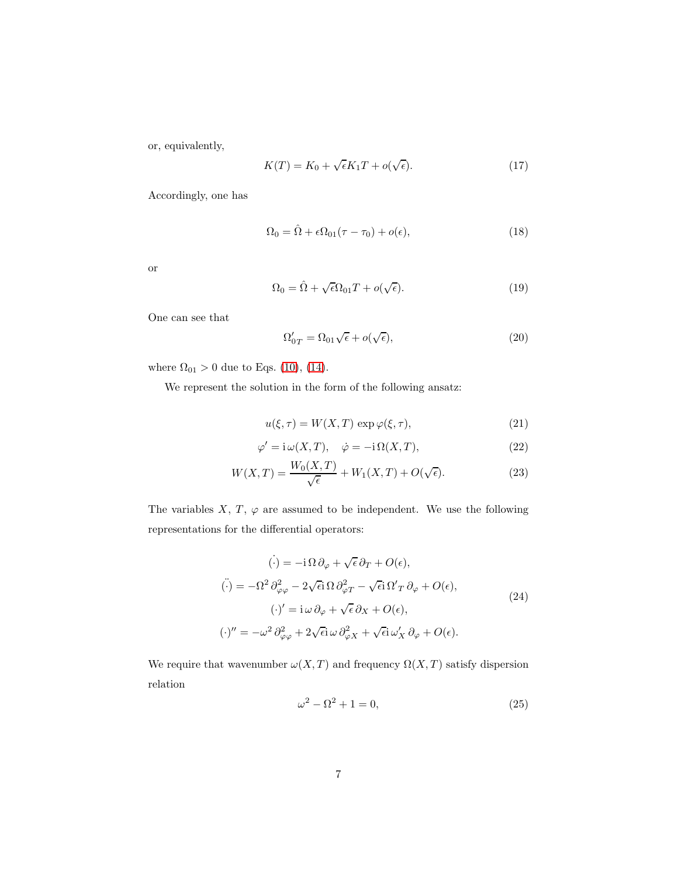or, equivalently,

<span id="page-6-5"></span>
$$
K(T) = K_0 + \sqrt{\epsilon} K_1 T + o(\sqrt{\epsilon}).
$$
\n(17)

Accordingly, one has

$$
\Omega_0 = \hat{\Omega} + \epsilon \Omega_{01} (\tau - \tau_0) + o(\epsilon), \tag{18}
$$

or

<span id="page-6-6"></span>
$$
\Omega_0 = \hat{\Omega} + \sqrt{\epsilon} \Omega_{01} T + o(\sqrt{\epsilon}). \tag{19}
$$

One can see that

<span id="page-6-2"></span>
$$
\Omega'_{0T} = \Omega_{01}\sqrt{\epsilon} + o(\sqrt{\epsilon}),\tag{20}
$$

where  $\Omega_{01} > 0$  due to Eqs. [\(10\)](#page-4-2), [\(14\)](#page-5-2).

We represent the solution in the form of the following ansatz:

<span id="page-6-4"></span><span id="page-6-0"></span>
$$
u(\xi, \tau) = W(X, T) \exp \varphi(\xi, \tau), \tag{21}
$$

$$
\varphi' = i \omega(X, T), \quad \dot{\varphi} = -i \Omega(X, T), \tag{22}
$$

$$
W(X,T) = \frac{W_0(X,T)}{\sqrt{\epsilon}} + W_1(X,T) + O(\sqrt{\epsilon}).
$$
 (23)

The variables  $X, T, \varphi$  are assumed to be independent. We use the following representations for the differential operators:

<span id="page-6-1"></span>
$$
\begin{aligned}\n\dot{\left(\cdot\right)} &= -\mathrm{i}\,\Omega\,\partial_{\varphi} + \sqrt{\epsilon}\,\partial_{T} + O(\epsilon),\\
\ddot{\left(\cdot\right)} &= -\Omega^{2}\,\partial_{\varphi\varphi}^{2} - 2\sqrt{\epsilon}\mathrm{i}\,\Omega\,\partial_{\varphi T}^{2} - \sqrt{\epsilon}\mathrm{i}\,\Omega'_{T}\,\partial_{\varphi} + O(\epsilon),\\
\left(\cdot\right)' &= \mathrm{i}\,\omega\,\partial_{\varphi} + \sqrt{\epsilon}\,\partial_{X} + O(\epsilon),\\
\left(\cdot\right)'' &= -\omega^{2}\,\partial_{\varphi\varphi}^{2} + 2\sqrt{\epsilon}\mathrm{i}\,\omega\,\partial_{\varphi X}^{2} + \sqrt{\epsilon}\mathrm{i}\,\omega'_{X}\,\partial_{\varphi} + O(\epsilon).\n\end{aligned}
$$
\n(24)

We require that wavenumber  $\omega(X,T)$  and frequency  $\Omega(X,T)$  satisfy dispersion relation

<span id="page-6-3"></span>
$$
\omega^2 - \Omega^2 + 1 = 0,\tag{25}
$$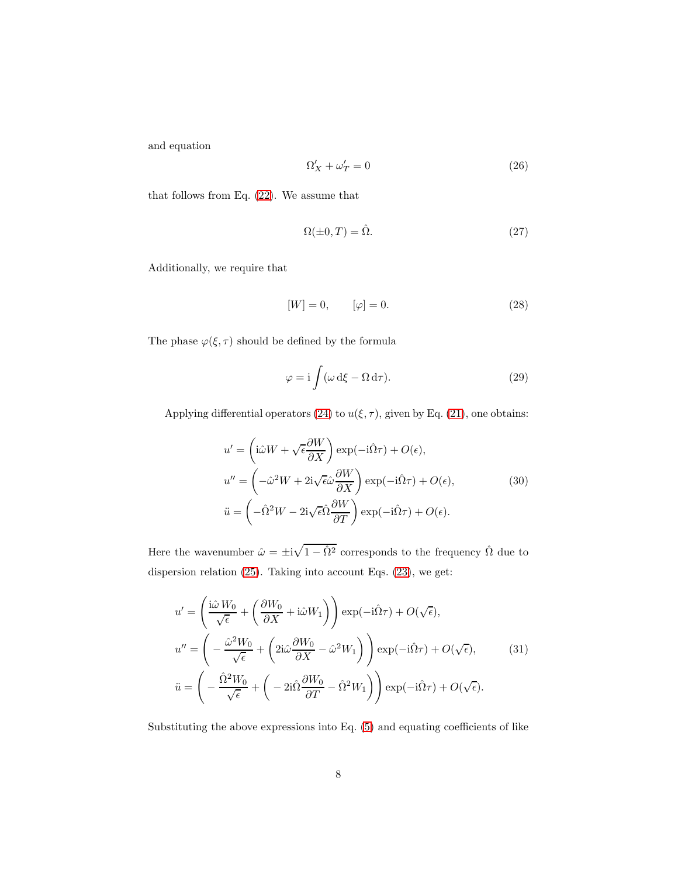and equation

$$
\Omega'_X + \omega'_T = 0 \tag{26}
$$

that follows from Eq. [\(22\)](#page-6-0). We assume that

$$
\Omega(\pm 0, T) = \hat{\Omega}.\tag{27}
$$

Additionally, we require that

$$
[W] = 0, \qquad [\varphi] = 0. \tag{28}
$$

The phase  $\varphi(\xi, \tau)$  should be defined by the formula

$$
\varphi = i \int (\omega \, d\xi - \Omega \, d\tau). \tag{29}
$$

Applying differential operators [\(24\)](#page-6-1) to  $u(\xi, \tau)$ , given by Eq. [\(21\)](#page-6-2), one obtains:

$$
u' = \left(i\hat{\omega}W + \sqrt{\epsilon}\frac{\partial W}{\partial X}\right) \exp(-i\hat{\Omega}\tau) + O(\epsilon),
$$
  
\n
$$
u'' = \left(-\hat{\omega}^2W + 2i\sqrt{\epsilon}\hat{\omega}\frac{\partial W}{\partial X}\right) \exp(-i\hat{\Omega}\tau) + O(\epsilon),
$$
  
\n
$$
\ddot{u} = \left(-\hat{\Omega}^2W - 2i\sqrt{\epsilon}\hat{\Omega}\frac{\partial W}{\partial T}\right) \exp(-i\hat{\Omega}\tau) + O(\epsilon).
$$
\n(30)

Here the wavenumber  $\hat{\omega} = \pm i \sqrt{1 - \hat{\Omega}^2}$  corresponds to the frequency  $\hat{\Omega}$  due to dispersion relation [\(25\)](#page-6-3). Taking into account Eqs. [\(23\)](#page-6-4), we get:

$$
u' = \left(\frac{\mathrm{i}\hat{\omega} W_0}{\sqrt{\epsilon}} + \left(\frac{\partial W_0}{\partial X} + \mathrm{i}\hat{\omega} W_1\right)\right) \exp(-\mathrm{i}\hat{\Omega}\tau) + O(\sqrt{\epsilon}),
$$
  

$$
u'' = \left(-\frac{\hat{\omega}^2 W_0}{\sqrt{\epsilon}} + \left(2\mathrm{i}\hat{\omega}\frac{\partial W_0}{\partial X} - \hat{\omega}^2 W_1\right)\right) \exp(-\mathrm{i}\hat{\Omega}\tau) + O(\sqrt{\epsilon}), \tag{31}
$$
  

$$
\ddot{u} = \left(-\frac{\hat{\Omega}^2 W_0}{\sqrt{\epsilon}} + \left(-2\mathrm{i}\hat{\Omega}\frac{\partial W_0}{\partial T} - \hat{\Omega}^2 W_1\right)\right) \exp(-\mathrm{i}\hat{\Omega}\tau) + O(\sqrt{\epsilon}).
$$

Substituting the above expressions into Eq. [\(5\)](#page-3-4) and equating coefficients of like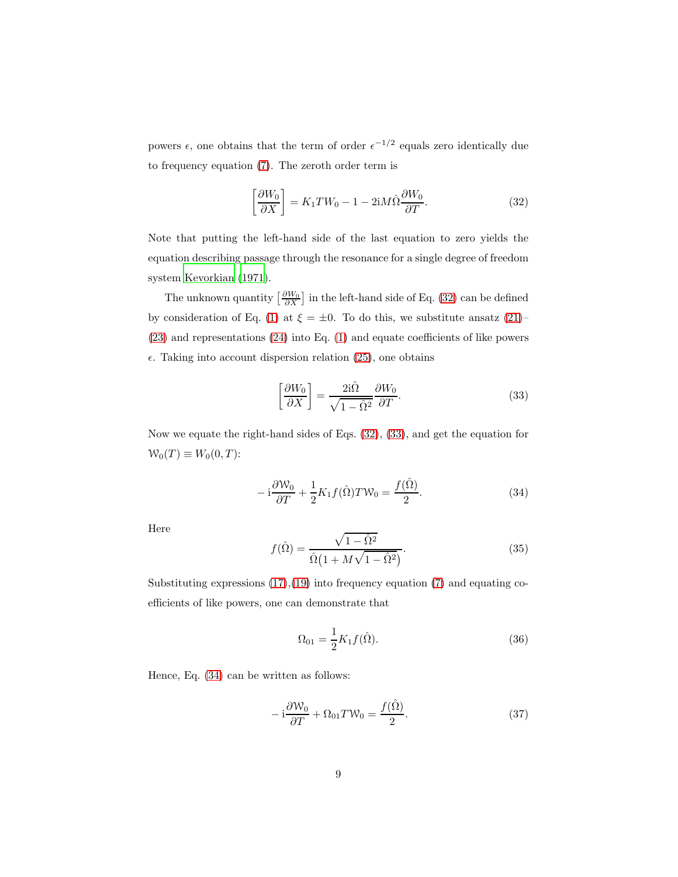powers  $\epsilon$ , one obtains that the term of order  $\epsilon^{-1/2}$  equals zero identically due to frequency equation [\(7\)](#page-4-4). The zeroth order term is

<span id="page-8-0"></span>
$$
\left[\frac{\partial W_0}{\partial X}\right] = K_1 T W_0 - 1 - 2iM\hat{\Omega}\frac{\partial W_0}{\partial T}.
$$
\n(32)

Note that putting the left-hand side of the last equation to zero yields the equation describing passage through the resonance for a single degree of freedom system [Kevorkian \(1971\)](#page-18-3).

The unknown quantity  $\left[\frac{\partial W_0}{\partial X}\right]$  in the left-hand side of Eq. [\(32\)](#page-8-0) can be defined by consideration of Eq. [\(1\)](#page-3-1) at  $\xi = \pm 0$ . To do this, we substitute ansatz [\(21\)](#page-6-2)– [\(23\)](#page-6-4) and representations [\(24\)](#page-6-1) into Eq. [\(1\)](#page-3-1) and equate coefficients of like powers  $\epsilon$ . Taking into account dispersion relation [\(25\)](#page-6-3), one obtains

<span id="page-8-1"></span>
$$
\left[\frac{\partial W_0}{\partial X}\right] = \frac{2i\hat{\Omega}}{\sqrt{1-\hat{\Omega}^2}} \frac{\partial W_0}{\partial T}.
$$
\n(33)

Now we equate the right-hand sides of Eqs. [\(32\)](#page-8-0), [\(33\)](#page-8-1), and get the equation for  $W_0(T) \equiv W_0(0,T)$ :

<span id="page-8-2"></span>
$$
-i\frac{\partial W_0}{\partial T} + \frac{1}{2}K_1 f(\hat{\Omega}) T W_0 = \frac{f(\hat{\Omega})}{2}.
$$
 (34)

Here

<span id="page-8-5"></span>
$$
f(\hat{\Omega}) = \frac{\sqrt{1 - \hat{\Omega}^2}}{\hat{\Omega}(1 + M\sqrt{1 - \hat{\Omega}^2})}.
$$
\n(35)

Substituting expressions  $(17),(19)$  $(17),(19)$  into frequency equation  $(7)$  and equating coefficients of like powers, one can demonstrate that

<span id="page-8-3"></span>
$$
\Omega_{01} = \frac{1}{2} K_1 f(\hat{\Omega}).
$$
\n(36)

Hence, Eq. [\(34\)](#page-8-2) can be written as follows:

<span id="page-8-4"></span>
$$
-i\frac{\partial W_0}{\partial T} + \Omega_{01}T W_0 = \frac{f(\hat{\Omega})}{2}.
$$
\n(37)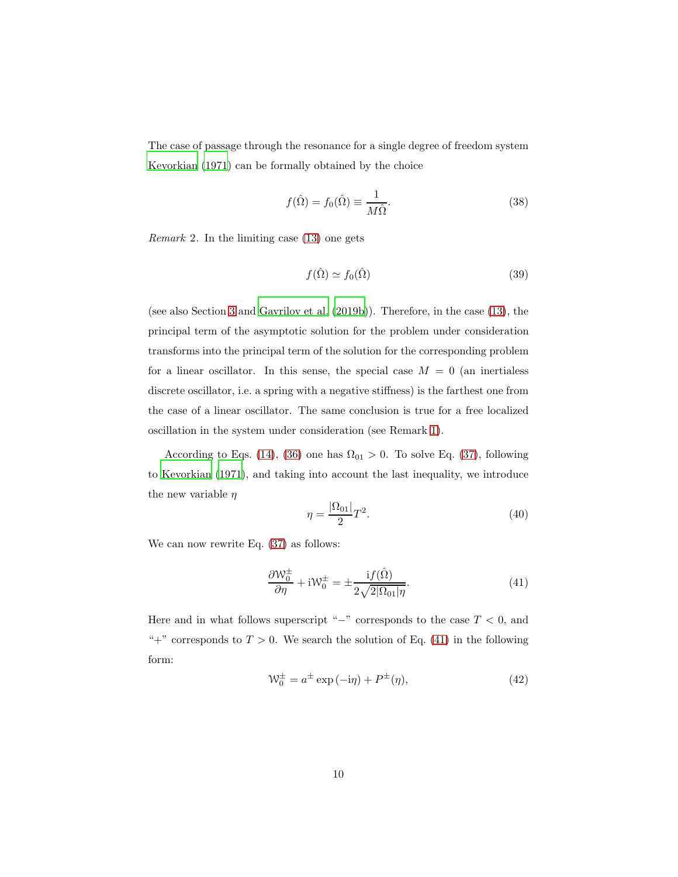The case of passage through the resonance for a single degree of freedom system [Kevorkian \(1971\)](#page-18-3) can be formally obtained by the choice

<span id="page-9-2"></span>
$$
f(\hat{\Omega}) = f_0(\hat{\Omega}) \equiv \frac{1}{M\hat{\Omega}}.
$$
\n(38)

*Remark* 2. In the limiting case  $(13)$  one gets

<span id="page-9-3"></span>
$$
f(\hat{\Omega}) \simeq f_0(\hat{\Omega}) \tag{39}
$$

(see also Section [3](#page-4-0) and [Gavrilov et al. \(2019b](#page-18-0))). Therefore, in the case [\(13\)](#page-5-3), the principal term of the asymptotic solution for the problem under consideration transforms into the principal term of the solution for the corresponding problem for a linear oscillator. In this sense, the special case  $M = 0$  (an inertialess discrete oscillator, i.e. a spring with a negative stiffness) is the farthest one from the case of a linear oscillator. The same conclusion is true for a free localized oscillation in the system under consideration (see Remark [1\)](#page-5-3).

According to Eqs. [\(14\)](#page-5-2), [\(36\)](#page-8-3) one has  $\Omega_{01} > 0$ . To solve Eq. [\(37\)](#page-8-4), following to [Kevorkian \(1971](#page-18-3)), and taking into account the last inequality, we introduce the new variable  $\eta$ 

<span id="page-9-1"></span>
$$
\eta = \frac{|\Omega_{01}|}{2}T^2.
$$
\n
$$
(40)
$$

We can now rewrite Eq.  $(37)$  as follows:

<span id="page-9-0"></span>
$$
\frac{\partial W_0^{\pm}}{\partial \eta} + iW_0^{\pm} = \pm \frac{i f(\hat{\Omega})}{2\sqrt{2|\Omega_{01}|\eta}}.
$$
\n(41)

Here and in what follows superscript "−" corresponds to the case  $T < 0$ , and "+" corresponds to  $T > 0$ . We search the solution of Eq. [\(41\)](#page-9-0) in the following form:

$$
\mathcal{W}_0^{\pm} = a^{\pm} \exp\left(-i\eta\right) + P^{\pm}(\eta),\tag{42}
$$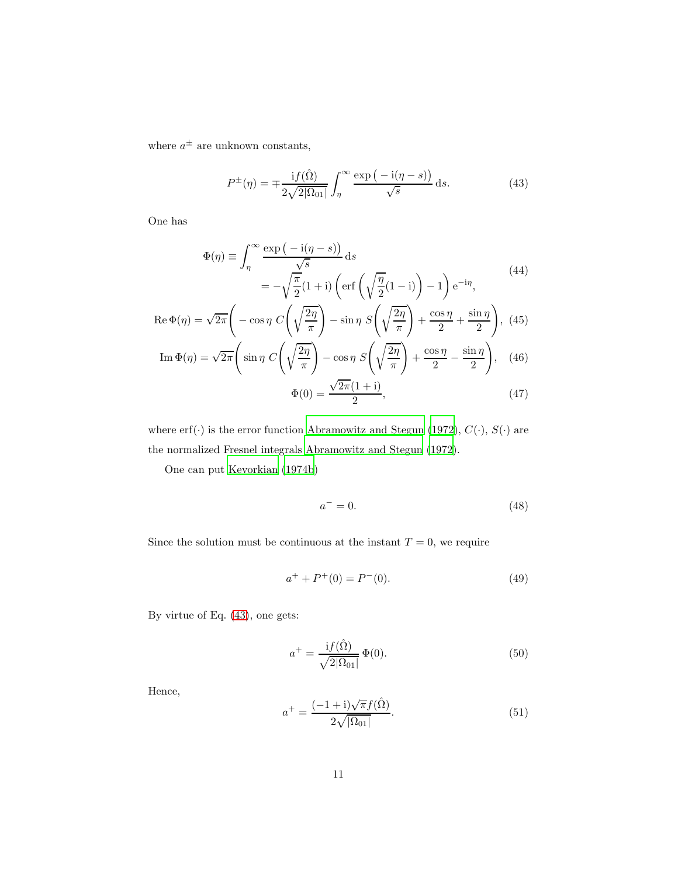where  $a^{\pm}$  are unknown constants,

<span id="page-10-0"></span>
$$
P^{\pm}(\eta) = \mp \frac{\mathrm{i} f(\hat{\Omega})}{2\sqrt{2|\Omega_{01}|}} \int_{\eta}^{\infty} \frac{\exp(-\mathrm{i}(\eta - s))}{\sqrt{s}} \,\mathrm{d}s. \tag{43}
$$

One has

$$
\Phi(\eta) \equiv \int_{\eta}^{\infty} \frac{\exp(-i(\eta - s))}{\sqrt{s}} ds
$$
  
=  $-\sqrt{\frac{\pi}{2}} (1 + i) \left( \text{erf}\left(\sqrt{\frac{\eta}{2}} (1 - i)\right) - 1 \right) e^{-i\eta},$  (44)

$$
\operatorname{Re}\Phi(\eta) = \sqrt{2\pi} \left( -\cos\eta \ C \left( \sqrt{\frac{2\eta}{\pi}} \right) - \sin\eta \ S \left( \sqrt{\frac{2\eta}{\pi}} \right) + \frac{\cos\eta}{2} + \frac{\sin\eta}{2} \right), \tag{45}
$$

$$
\operatorname{Im}\Phi(\eta) = \sqrt{2\pi} \left( \sin\eta \ C \left( \sqrt{\frac{2\eta}{\pi}} \right) - \cos\eta \ S \left( \sqrt{\frac{2\eta}{\pi}} \right) + \frac{\cos\eta}{2} - \frac{\sin\eta}{2} \right), \tag{46}
$$

$$
\Phi(0) = \frac{\sqrt{2\pi}(1+i)}{2},\tag{47}
$$

where erf $(\cdot)$  is the error function [Abramowitz and Stegun \(1972](#page-17-8)),  $C(\cdot)$ ,  $S(\cdot)$  are the normalized Fresnel integrals [Abramowitz and Stegun \(1972\)](#page-17-8).

One can put [Kevorkian \(1974b\)](#page-18-4)

$$
a^- = 0.\t\t(48)
$$

Since the solution must be continuous at the instant  $T = 0$ , we require

$$
a^+ + P^+(0) = P^-(0). \tag{49}
$$

By virtue of Eq. [\(43\)](#page-10-0), one gets:

$$
a^{+} = \frac{\mathrm{i} f(\hat{\Omega})}{\sqrt{2|\Omega_{01}|}} \,\Phi(0). \tag{50}
$$

Hence,

$$
a^{+} = \frac{(-1+i)\sqrt{\pi}f(\hat{\Omega})}{2\sqrt{|\Omega_{01}|}}.
$$
\n(51)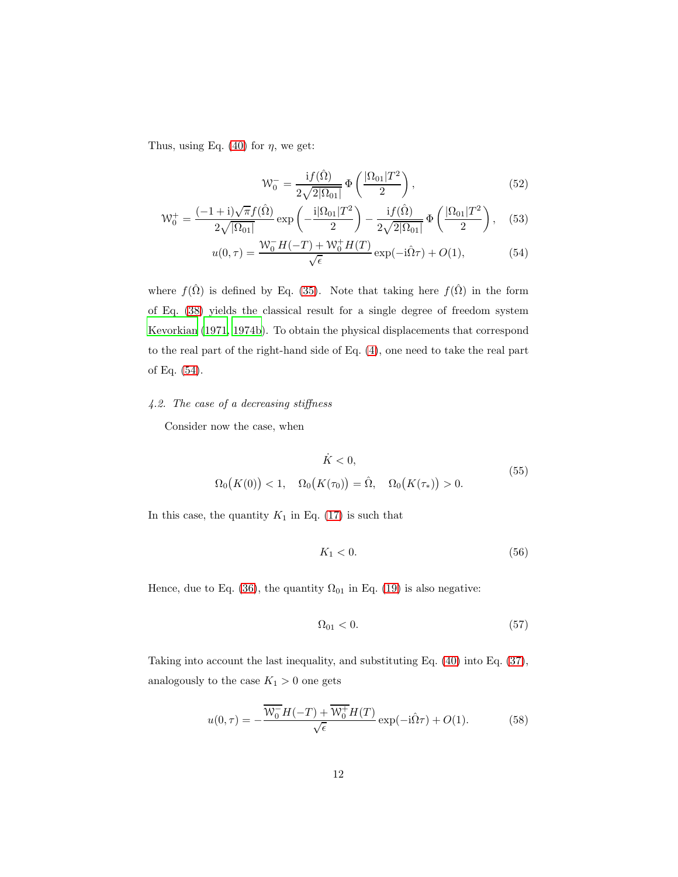Thus, using Eq. [\(40\)](#page-9-1) for  $\eta$ , we get:

<span id="page-11-3"></span><span id="page-11-2"></span><span id="page-11-1"></span>
$$
\mathcal{W}_0^- = \frac{\mathrm{i} f(\hat{\Omega})}{2\sqrt{2|\Omega_{01}|}} \Phi\left(\frac{|\Omega_{01}|T^2}{2}\right),\tag{52}
$$

$$
\mathcal{W}_0^+ = \frac{(-1+i)\sqrt{\pi}f(\hat{\Omega})}{2\sqrt{|\Omega_{01}|}} \exp\left(-\frac{i|\Omega_{01}|T^2}{2}\right) - \frac{if(\hat{\Omega})}{2\sqrt{2|\Omega_{01}|}} \Phi\left(\frac{|\Omega_{01}|T^2}{2}\right), \quad (53)
$$

$$
u(0,\tau) = \frac{\mathcal{W}_0^- H(-T) + \mathcal{W}_0^+ H(T)}{\sqrt{\epsilon}} \exp(-i\hat{\Omega}\tau) + O(1),\tag{54}
$$

where  $f(\hat{\Omega})$  is defined by Eq. [\(35\)](#page-8-5). Note that taking here  $f(\hat{\Omega})$  in the form of Eq. [\(38\)](#page-9-2) yields the classical result for a single degree of freedom system [Kevorkian \(1971,](#page-18-3) [1974b](#page-18-4)). To obtain the physical displacements that correspond to the real part of the right-hand side of Eq. [\(4\)](#page-3-5), one need to take the real part of Eq. [\(54\)](#page-11-1).

## <span id="page-11-0"></span>4.2. The case of a decreasing stiffness

Consider now the case, when

$$
\dot{K} < 0,\tag{55}
$$
\n
$$
\Omega_0(K(0)) < 1, \quad \Omega_0(K(\tau_0)) = \hat{\Omega}, \quad \Omega_0(K(\tau_*)) > 0.
$$

In this case, the quantity  $K_1$  in Eq. [\(17\)](#page-6-5) is such that

$$
K_1 < 0. \tag{56}
$$

Hence, due to Eq. [\(36\)](#page-8-3), the quantity  $\Omega_{01}$  in Eq. [\(19\)](#page-6-6) is also negative:

$$
\Omega_{01} < 0. \tag{57}
$$

Taking into account the last inequality, and substituting Eq. [\(40\)](#page-9-1) into Eq. [\(37\)](#page-8-4), analogously to the case  $K_1 > 0$  one gets

<span id="page-11-4"></span>
$$
u(0,\tau) = -\frac{\overline{W_0}H(-T) + \overline{W_0}H(T)}{\sqrt{\epsilon}}\exp(-i\hat{\Omega}\tau) + O(1). \tag{58}
$$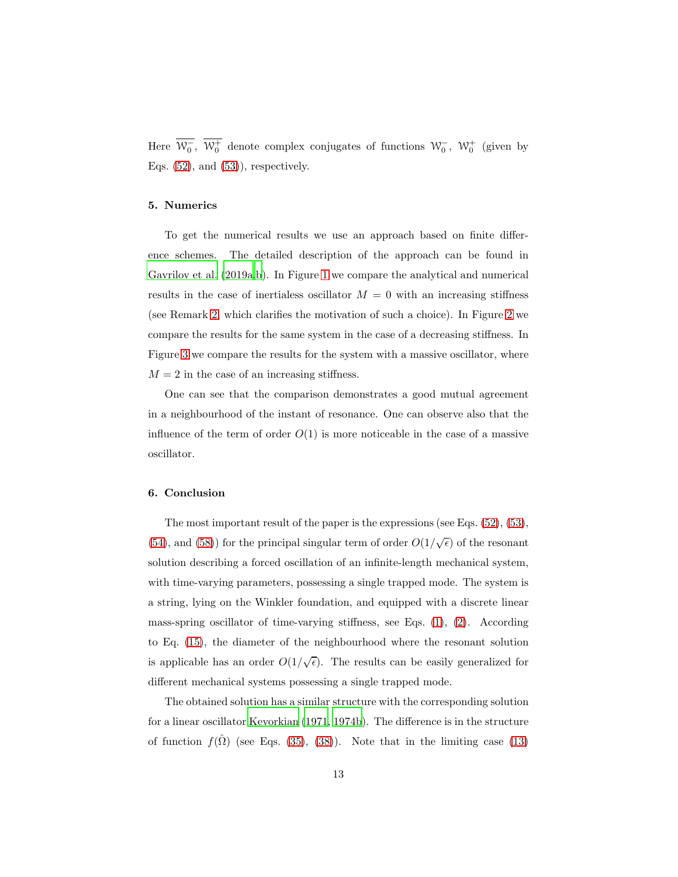Here  $\overline{\mathcal{W}_0}$ ,  $\overline{\mathcal{W}_0^+}$  denote complex conjugates of functions  $\mathcal{W}_0^-$ ,  $\mathcal{W}_0^+$  (given by Eqs.  $(52)$ , and  $(53)$ ), respectively.

## <span id="page-12-0"></span>5. Numerics

To get the numerical results we use an approach based on finite difference schemes. The detailed description of the approach can be found in [Gavrilov et al. \(2019a](#page-17-4)[,b\)](#page-18-0). In Figure [1](#page-13-0) we compare the analytical and numerical results in the case of inertialess oscillator  $M = 0$  with an increasing stiffness (see Remark [2,](#page-9-3) which clarifies the motivation of such a choice). In Figure [2](#page-14-0) we compare the results for the same system in the case of a decreasing stiffness. In Figure [3](#page-15-0) we compare the results for the system with a massive oscillator, where  $M = 2$  in the case of an increasing stiffness.

One can see that the comparison demonstrates a good mutual agreement in a neighbourhood of the instant of resonance. One can observe also that the influence of the term of order  $O(1)$  is more noticeable in the case of a massive oscillator.

## <span id="page-12-1"></span>6. Conclusion

The most important result of the paper is the expressions (see Eqs. [\(52\)](#page-11-2), [\(53\)](#page-11-3), [\(54\)](#page-11-1), and [\(58\)](#page-11-4)) for the principal singular term of order  $O(1/\sqrt{\epsilon})$  of the resonant solution describing a forced oscillation of an infinite-length mechanical system, with time-varying parameters, possessing a single trapped mode. The system is a string, lying on the Winkler foundation, and equipped with a discrete linear mass-spring oscillator of time-varying stiffness, see Eqs.  $(1)$ ,  $(2)$ . According to Eq. [\(15\)](#page-5-4), the diameter of the neighbourhood where the resonant solution is applicable has an order  $O(1/\sqrt{\epsilon})$ . The results can be easily generalized for different mechanical systems possessing a single trapped mode.

The obtained solution has a similar structure with the corresponding solution for a linear oscillator [Kevorkian \(1971,](#page-18-3) [1974b\)](#page-18-4). The difference is in the structure of function  $f(\Omega)$  (see Eqs. [\(35\)](#page-8-5), [\(38\)](#page-9-2)). Note that in the limiting case [\(13\)](#page-5-3)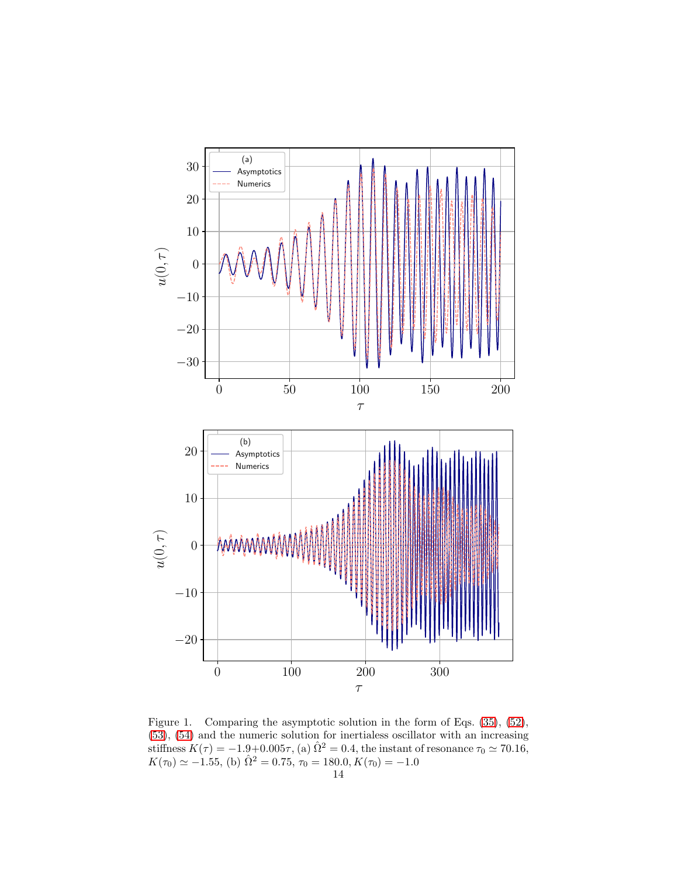

<span id="page-13-0"></span>Figure 1. Comparing the asymptotic solution in the form of Eqs. [\(35\)](#page-8-5), [\(52\)](#page-11-2), [\(53\)](#page-11-3), [\(54\)](#page-11-1) and the numeric solution for inertialess oscillator with an increasing stiffness  $K(\tau) = -1.9+0.005\tau$ , (a)  $\hat{\Omega}^2 = 0.4$ , the instant of resonance  $\tau_0 \simeq 70.16$ ,  $K(\tau_0) \simeq -1.55$ , (b)  $\hat{\Omega}^2 = 0.75$ ,  $\tau_0 = 180.0, K(\tau_0) = -1.0$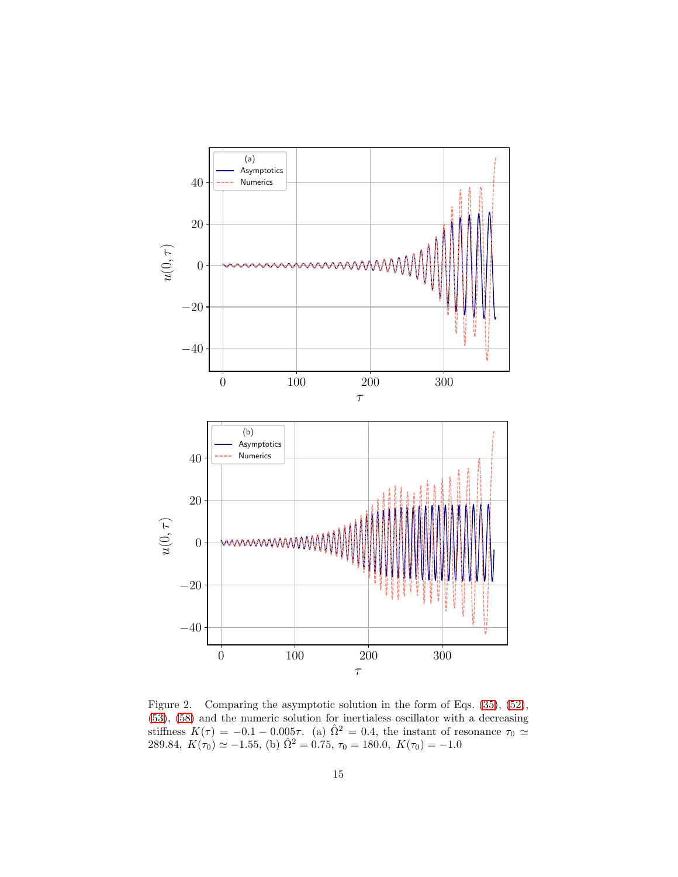

<span id="page-14-0"></span>Figure 2. Comparing the asymptotic solution in the form of Eqs. [\(35\)](#page-8-5), [\(52\)](#page-11-2), [\(53\)](#page-11-3), [\(58\)](#page-11-4) and the numeric solution for inertialess oscillator with a decreasing stiffness  $K(\tau) = -0.1 - 0.005\tau$ . (a)  $\hat{\Omega}^2 = 0.4$ , the instant of resonance  $\tau_0 \simeq$ 289.84,  $K(\tau_0) \simeq -1.55$ , (b)  $\hat{\Omega}^2 = 0.75$ ,  $\tau_0 = 180.0$ ,  $K(\tau_0) = -1.0$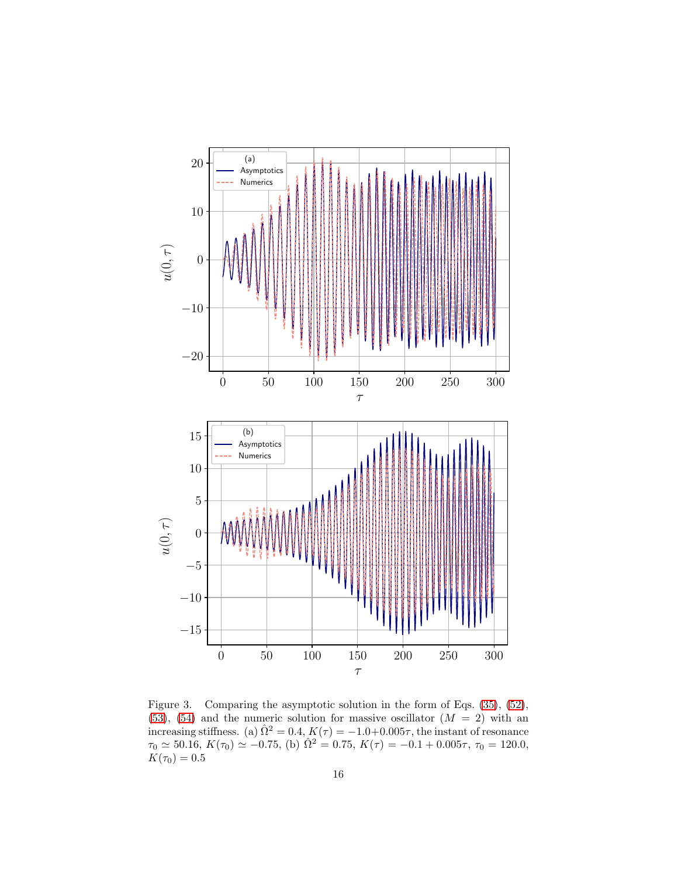

<span id="page-15-0"></span>Figure 3. Comparing the asymptotic solution in the form of Eqs. [\(35\)](#page-8-5), [\(52\)](#page-11-2),  $(53)$ ,  $(54)$  and the numeric solution for massive oscillator  $(M = 2)$  with an increasing stiffness. (a)  $\hat{\Omega}^2 = 0.4$ ,  $K(\tau) = -1.0+0.005\tau$ , the instant of resonance  $\tau_0 \simeq 50.16, K(\tau_0) \simeq -0.75,$  (b)  $\hat{\Omega}^2 = 0.75, K(\tau) = -0.1 + 0.005\tau, \tau_0 = 120.0,$  $K(\tau_0) = 0.5$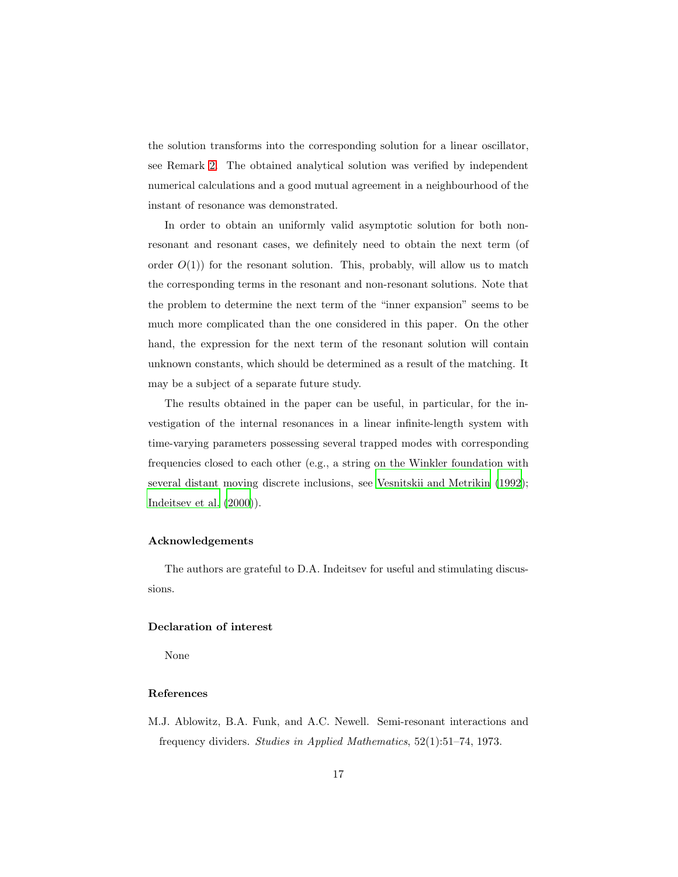the solution transforms into the corresponding solution for a linear oscillator, see Remark [2.](#page-9-3) The obtained analytical solution was verified by independent numerical calculations and a good mutual agreement in a neighbourhood of the instant of resonance was demonstrated.

In order to obtain an uniformly valid asymptotic solution for both nonresonant and resonant cases, we definitely need to obtain the next term (of order  $O(1)$  for the resonant solution. This, probably, will allow us to match the corresponding terms in the resonant and non-resonant solutions. Note that the problem to determine the next term of the "inner expansion" seems to be much more complicated than the one considered in this paper. On the other hand, the expression for the next term of the resonant solution will contain unknown constants, which should be determined as a result of the matching. It may be a subject of a separate future study.

The results obtained in the paper can be useful, in particular, for the investigation of the internal resonances in a linear infinite-length system with time-varying parameters possessing several trapped modes with corresponding frequencies closed to each other (e.g., a string on the Winkler foundation with several distant moving discrete inclusions, see [Vesnitskii and Metrikin \(1992\)](#page-19-6); [Indeitsev et al. \(2000\)](#page-18-8)).

## Acknowledgements

The authors are grateful to D.A. Indeitsev for useful and stimulating discussions.

#### Declaration of interest

None

## References

<span id="page-16-0"></span>M.J. Ablowitz, B.A. Funk, and A.C. Newell. Semi-resonant interactions and frequency dividers. Studies in Applied Mathematics, 52(1):51–74, 1973.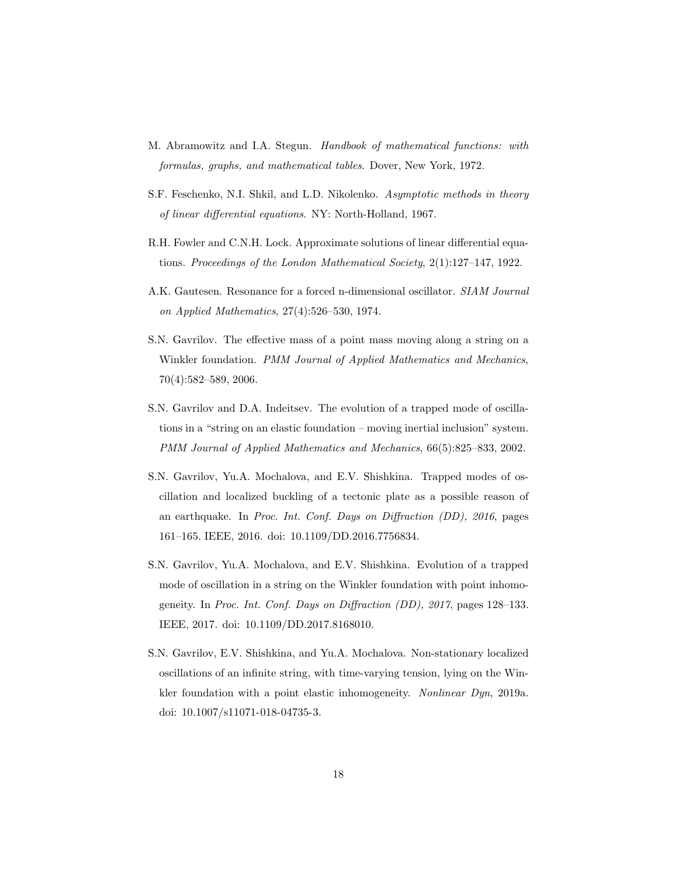- <span id="page-17-8"></span>M. Abramowitz and I.A. Stegun. Handbook of mathematical functions: with formulas, graphs, and mathematical tables. Dover, New York, 1972.
- <span id="page-17-6"></span>S.F. Feschenko, N.I. Shkil, and L.D. Nikolenko. Asymptotic methods in theory of linear differential equations. NY: North-Holland, 1967.
- <span id="page-17-5"></span>R.H. Fowler and C.N.H. Lock. Approximate solutions of linear differential equations. Proceedings of the London Mathematical Society, 2(1):127–147, 1922.
- <span id="page-17-7"></span>A.K. Gautesen. Resonance for a forced n-dimensional oscillator. SIAM Journal on Applied Mathematics, 27(4):526–530, 1974.
- <span id="page-17-1"></span>S.N. Gavrilov. The effective mass of a point mass moving along a string on a Winkler foundation. PMM Journal of Applied Mathematics and Mechanics, 70(4):582–589, 2006.
- <span id="page-17-0"></span>S.N. Gavrilov and D.A. Indeitsev. The evolution of a trapped mode of oscillations in a "string on an elastic foundation – moving inertial inclusion" system. PMM Journal of Applied Mathematics and Mechanics, 66(5):825–833, 2002.
- <span id="page-17-2"></span>S.N. Gavrilov, Yu.A. Mochalova, and E.V. Shishkina. Trapped modes of oscillation and localized buckling of a tectonic plate as a possible reason of an earthquake. In Proc. Int. Conf. Days on Diffraction (DD), 2016, pages 161–165. IEEE, 2016. doi: 10.1109/DD.2016.7756834.
- <span id="page-17-3"></span>S.N. Gavrilov, Yu.A. Mochalova, and E.V. Shishkina. Evolution of a trapped mode of oscillation in a string on the Winkler foundation with point inhomogeneity. In Proc. Int. Conf. Days on Diffraction (DD), 2017, pages 128–133. IEEE, 2017. doi: 10.1109/DD.2017.8168010.
- <span id="page-17-4"></span>S.N. Gavrilov, E.V. Shishkina, and Yu.A. Mochalova. Non-stationary localized oscillations of an infinite string, with time-varying tension, lying on the Winkler foundation with a point elastic inhomogeneity. Nonlinear Dyn, 2019a. doi: 10.1007/s11071-018-04735-3.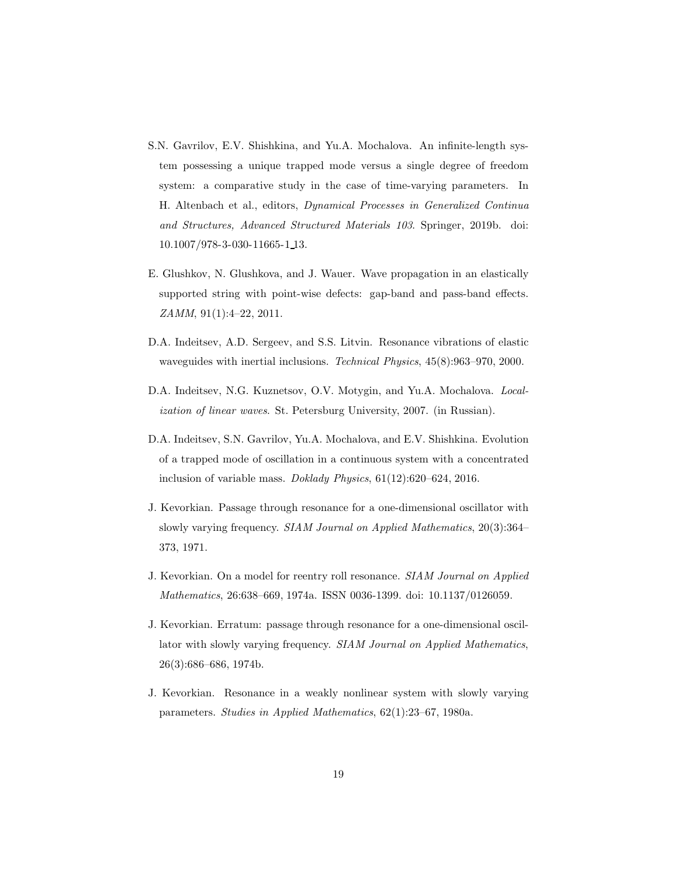- <span id="page-18-0"></span>S.N. Gavrilov, E.V. Shishkina, and Yu.A. Mochalova. An infinite-length system possessing a unique trapped mode versus a single degree of freedom system: a comparative study in the case of time-varying parameters. In H. Altenbach et al., editors, Dynamical Processes in Generalized Continua and Structures, Advanced Structured Materials 103. Springer, 2019b. doi: 10.1007/978-3-030-11665-1 13.
- <span id="page-18-7"></span>E. Glushkov, N. Glushkova, and J. Wauer. Wave propagation in an elastically supported string with point-wise defects: gap-band and pass-band effects. ZAMM, 91(1):4–22, 2011.
- <span id="page-18-8"></span>D.A. Indeitsev, A.D. Sergeev, and S.S. Litvin. Resonance vibrations of elastic waveguides with inertial inclusions. Technical Physics, 45(8):963–970, 2000.
- <span id="page-18-2"></span>D.A. Indeitsev, N.G. Kuznetsov, O.V. Motygin, and Yu.A. Mochalova. Localization of linear waves. St. Petersburg University, 2007. (in Russian).
- <span id="page-18-1"></span>D.A. Indeitsev, S.N. Gavrilov, Yu.A. Mochalova, and E.V. Shishkina. Evolution of a trapped mode of oscillation in a continuous system with a concentrated inclusion of variable mass. Doklady Physics, 61(12):620–624, 2016.
- <span id="page-18-3"></span>J. Kevorkian. Passage through resonance for a one-dimensional oscillator with slowly varying frequency. SIAM Journal on Applied Mathematics, 20(3):364– 373, 1971.
- <span id="page-18-5"></span>J. Kevorkian. On a model for reentry roll resonance. SIAM Journal on Applied Mathematics, 26:638–669, 1974a. ISSN 0036-1399. doi: 10.1137/0126059.
- <span id="page-18-4"></span>J. Kevorkian. Erratum: passage through resonance for a one-dimensional oscillator with slowly varying frequency. SIAM Journal on Applied Mathematics, 26(3):686–686, 1974b.
- <span id="page-18-6"></span>J. Kevorkian. Resonance in a weakly nonlinear system with slowly varying parameters. Studies in Applied Mathematics, 62(1):23–67, 1980a.